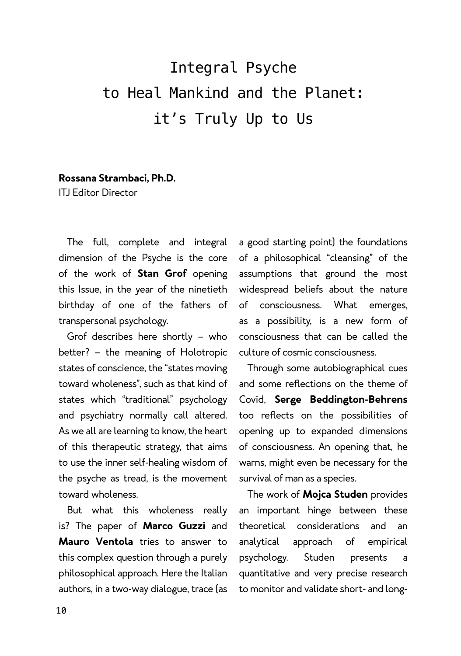## Integral Psyche to Heal Mankind and the Planet: it's Truly Up to Us

## **Rossana Strambaci, Ph.D.**

ITJ Editor Director

The full, complete and integral dimension of the Psyche is the core of the work of **Stan Grof** opening this Issue, in the year of the ninetieth birthday of one of the fathers of transpersonal psychology.

Grof describes here shortly – who better? – the meaning of Holotropic states of conscience, the "states moving toward wholeness", such as that kind of states which "traditional" psychology and psychiatry normally call altered. As we all are learning to know, the heart of this therapeutic strategy, that aims to use the inner self-healing wisdom of the psyche as tread, is the movement toward wholeness.

But what this wholeness really is? The paper of **Marco Guzzi** and **Mauro Ventola** tries to answer to this complex question through a purely philosophical approach. Here the Italian authors, in a two-way dialogue, trace (as

a good starting point) the foundations of a philosophical "cleansing" of the assumptions that ground the most widespread beliefs about the nature of consciousness. What emerges, as a possibility, is a new form of consciousness that can be called the culture of cosmic consciousness.

Through some autobiographical cues and some reflections on the theme of Covid, **Serge Beddington-Behrens** too reflects on the possibilities of opening up to expanded dimensions of consciousness. An opening that, he warns, might even be necessary for the survival of man as a species.

The work of **Mojca Studen** provides an important hinge between these theoretical considerations and an analytical approach of empirical psychology. Studen presents a quantitative and very precise research to monitor and validate short- and long